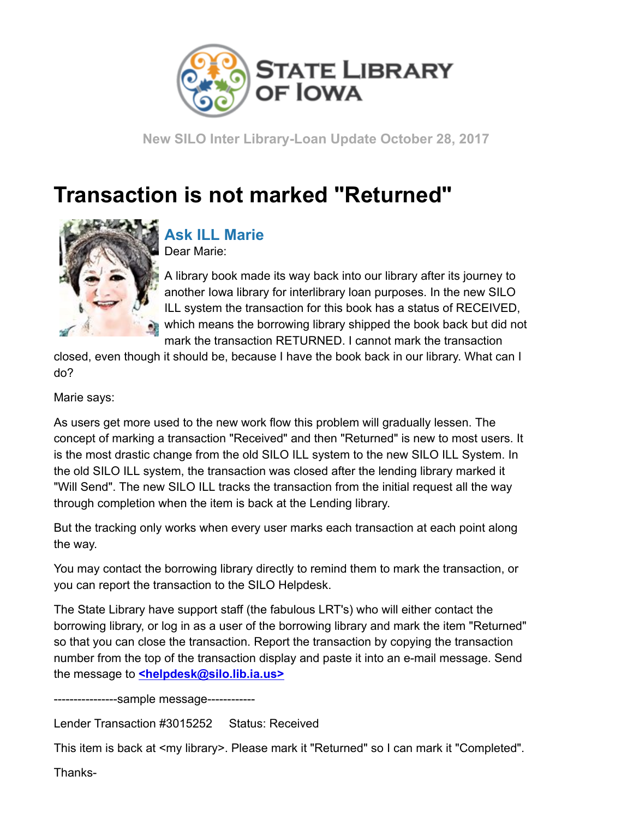

New SILO Inter Library-Loan Update October 28, 2017

## Transaction is not marked "Returned"



## Ask ILL Marie

Dear Marie:

A library book made its way back into our library after its journey to another Iowa library for interlibrary loan purposes. In the new SILO ILL system the transaction for this book has a status of RECEIVED, which means the borrowing library shipped the book back but did not mark the transaction RETURNED. I cannot mark the transaction

closed, even though it should be, because I have the book back in our library. What can I do?

Marie says:

As users get more used to the new work flow this problem will gradually lessen. The concept of marking a transaction "Received" and then "Returned" is new to most users. It is the most drastic change from the old SILO ILL system to the new SILO ILL System. In the old SILO ILL system, the transaction was closed after the lending library marked it "Will Send". The new SILO ILL tracks the transaction from the initial request all the way through completion when the item is back at the Lending library.

But the tracking only works when every user marks each transaction at each point along the way.

You may contact the borrowing library directly to remind them to mark the transaction, or you can report the transaction to the SILO Helpdesk.

The State Library have support staff (the fabulous LRT's) who will either contact the borrowing library, or log in as a user of the borrowing library and mark the item "Returned" so that you can close the transaction. Report the transaction by copying the transaction number from the top of the transaction display and paste it into an e-mail message. Send the message to **[<helpdesk@silo.lib.ia.us>](mailto:helpdesk@silo.lib.ia.us)** 

----------------sample message------------

Lender Transaction #3015252 Status: Received

This item is back at <my library>. Please mark it "Returned" so I can mark it "Completed".

Thanks-